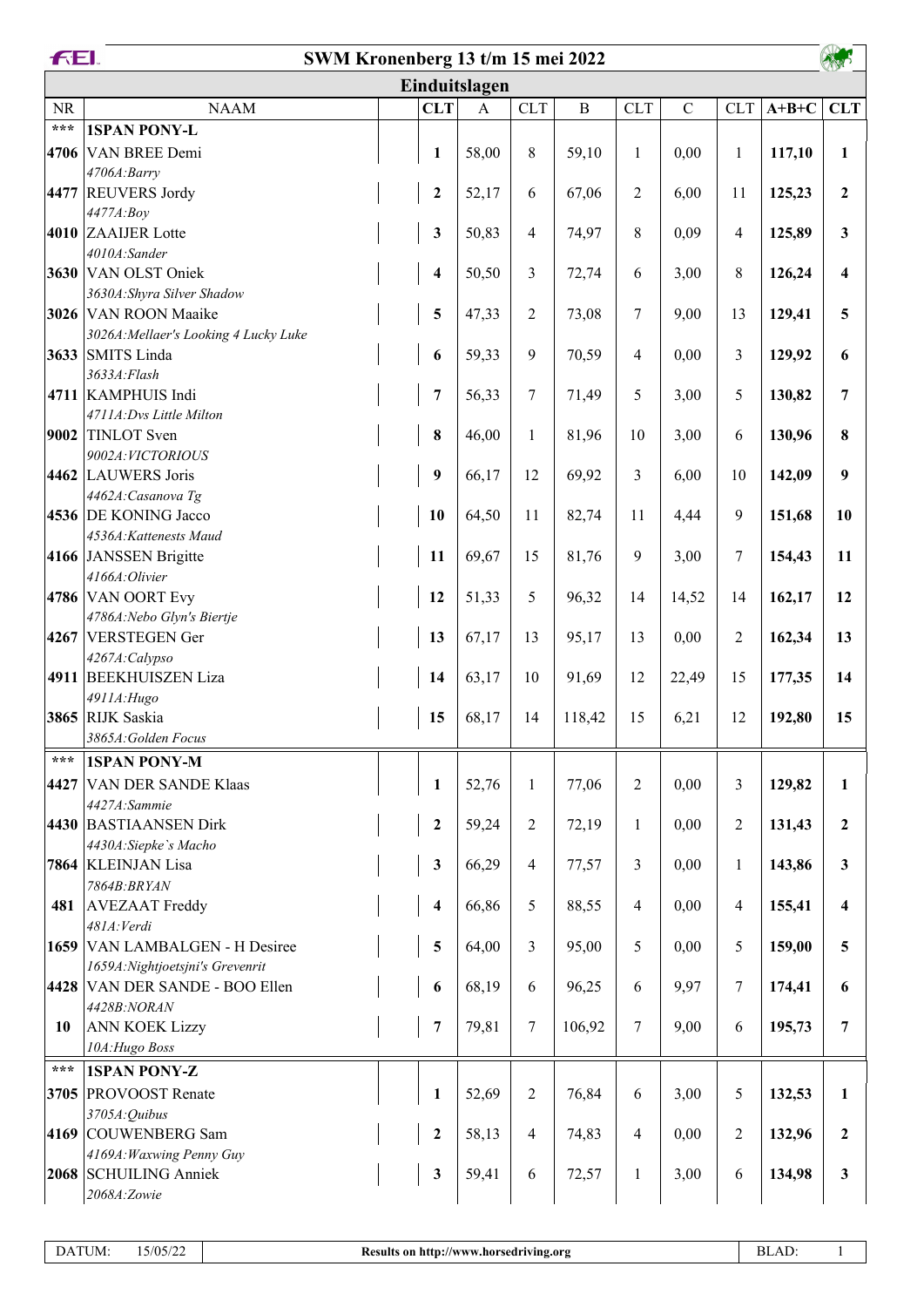|                   | <b>FEL</b><br>SWM Kronenberg 13 t/m 15 mei 2022 |  |                         |               |                         |              |                |               |                         |         |                         |
|-------------------|-------------------------------------------------|--|-------------------------|---------------|-------------------------|--------------|----------------|---------------|-------------------------|---------|-------------------------|
|                   |                                                 |  |                         | Einduitslagen |                         |              |                |               |                         |         |                         |
| NR                | <b>NAAM</b>                                     |  | <b>CLT</b>              | $\mathbf{A}$  | <b>CLT</b>              | $\, {\bf B}$ | <b>CLT</b>     | $\mathcal{C}$ | <b>CLT</b>              | $A+B+C$ | <b>CLT</b>              |
| $\star\star\star$ | <b>1SPAN PONY-L</b>                             |  |                         |               |                         |              |                |               |                         |         |                         |
|                   | 4706 VAN BREE Demi                              |  | 1                       | 58,00         | 8                       | 59,10        | $\mathbf{1}$   | 0,00          | $\mathbf{1}$            | 117,10  | 1                       |
|                   | 4706A:Barry                                     |  |                         |               |                         |              |                |               |                         |         |                         |
|                   | 4477 REUVERS Jordy                              |  | $\boldsymbol{2}$        | 52,17         | 6                       | 67,06        | $\overline{2}$ | 6,00          | 11                      | 125,23  | $\boldsymbol{2}$        |
|                   | 4477A:Boy<br>4010 ZAAIJER Lotte                 |  | $\mathbf{3}$            | 50,83         | $\overline{\mathbf{4}}$ | 74,97        | $\,$ 8 $\,$    | 0,09          | $\overline{\mathbf{4}}$ | 125,89  | $\mathbf{3}$            |
|                   | 4010A:Sander                                    |  |                         |               |                         |              |                |               |                         |         |                         |
|                   | 3630 VAN OLST Oniek                             |  | 4                       | 50,50         | 3                       | 72,74        | 6              | 3,00          | 8                       | 126,24  | $\overline{\mathbf{4}}$ |
|                   | 3630A: Shyra Silver Shadow                      |  |                         |               |                         |              |                |               |                         |         |                         |
|                   | 3026 VAN ROON Maaike                            |  | 5                       | 47,33         | $\overline{c}$          | 73,08        | 7              | 9,00          | 13                      | 129,41  | 5                       |
|                   | 3026A: Mellaer's Looking 4 Lucky Luke           |  |                         |               |                         |              |                |               |                         |         |                         |
|                   | 3633 SMITS Linda                                |  | 6                       | 59,33         | 9                       | 70,59        | 4              | 0,00          | 3                       | 129,92  | 6                       |
|                   | 3633A: Flash<br>4711 KAMPHUIS Indi              |  | $\overline{7}$          | 56,33         | 7                       | 71,49        | 5              | 3,00          | 5                       | 130,82  | 7                       |
|                   | 4711A: Dvs Little Milton                        |  |                         |               |                         |              |                |               |                         |         |                         |
| 9002              | TINLOT Sven                                     |  | $\pmb{8}$               | 46,00         | $\mathbf{1}$            | 81,96        | 10             | 3,00          | 6                       | 130,96  | 8                       |
|                   | 9002A: VICTORIOUS                               |  |                         |               |                         |              |                |               |                         |         |                         |
|                   | 4462 LAUWERS Joris                              |  | 9                       | 66,17         | 12                      | 69,92        | 3              | 6,00          | 10                      | 142,09  | 9                       |
|                   | 4462A: Casanova Tg                              |  |                         |               |                         |              |                |               |                         |         |                         |
|                   | 4536 DE KONING Jacco                            |  | 10                      | 64,50         | 11                      | 82,74        | 11             | 4,44          | 9                       | 151,68  | 10                      |
|                   | 4536A: Kattenests Maud<br>4166 JANSSEN Brigitte |  | 11                      | 69,67         | 15                      | 81,76        | 9              | 3,00          | 7                       | 154,43  | 11                      |
|                   | 4166A: Olivier                                  |  |                         |               |                         |              |                |               |                         |         |                         |
|                   | 4786 VAN OORT Evy                               |  | 12                      | 51,33         | 5                       | 96,32        | 14             | 14,52         | 14                      | 162,17  | 12                      |
|                   | 4786A: Nebo Glyn's Biertje                      |  |                         |               |                         |              |                |               |                         |         |                         |
|                   | 4267 VERSTEGEN Ger                              |  | 13                      | 67,17         | 13                      | 95,17        | 13             | 0,00          | $\overline{2}$          | 162,34  | 13                      |
|                   | 4267A:Calypso                                   |  |                         |               |                         |              |                |               |                         |         |                         |
|                   | 4911 BEEKHUISZEN Liza                           |  | 14                      | 63,17         | 10                      | 91,69        | 12             | 22,49         | 15                      | 177,35  | 14                      |
|                   | 4911A: Hugo<br>3865 RIJK Saskia                 |  | 15                      | 68,17         | 14                      | 118,42       | 15             | 6,21          | 12                      | 192,80  | 15                      |
|                   | 3865A: Golden Focus                             |  |                         |               |                         |              |                |               |                         |         |                         |
| ***               | <b>1SPAN PONY-M</b>                             |  |                         |               |                         |              |                |               |                         |         |                         |
| 4427              | <b>VAN DER SANDE Klaas</b>                      |  | $\mathbf{1}$            | 52,76         | $\mathbf{1}$            | 77,06        | $\sqrt{2}$     | 0,00          | 3                       | 129,82  | $\mathbf{1}$            |
|                   | 4427A:Sammie                                    |  |                         |               |                         |              |                |               |                         |         |                         |
|                   | 4430 BASTIAANSEN Dirk                           |  | $\mathbf 2$             | 59,24         | $\overline{c}$          | 72,19        | 1              | 0,00          | $\overline{2}$          | 131,43  | $\overline{2}$          |
|                   | 4430A:Siepke's Macho                            |  |                         |               |                         |              |                |               |                         |         |                         |
|                   | 7864 KLEINJAN Lisa                              |  | $\mathbf{3}$            | 66,29         | 4                       | 77,57        | 3              | 0,00          | $\mathbf{1}$            | 143,86  | $\mathbf{3}$            |
| 481               | 7864B: BRYAN<br><b>AVEZAAT</b> Freddy           |  | $\overline{\mathbf{4}}$ | 66,86         | 5                       | 88,55        | $\overline{4}$ | 0,00          | 4                       | 155,41  | $\overline{\mathbf{4}}$ |
|                   | 481A: Verdi                                     |  |                         |               |                         |              |                |               |                         |         |                         |
|                   | 1659 VAN LAMBALGEN - H Desiree                  |  | 5                       | 64,00         | 3                       | 95,00        | 5              | 0,00          | 5                       | 159,00  | 5                       |
|                   | 1659A: Nightjoetsjni's Grevenrit                |  |                         |               |                         |              |                |               |                         |         |                         |
|                   | 4428 VAN DER SANDE - BOO Ellen                  |  | 6                       | 68,19         | 6                       | 96,25        | 6              | 9,97          | 7                       | 174,41  | 6                       |
|                   | 4428B:NORAN                                     |  |                         |               |                         |              |                |               |                         |         |                         |
| 10                | <b>ANN KOEK Lizzy</b>                           |  | $\overline{7}$          | 79,81         | 7                       | 106,92       | $\tau$         | 9,00          | 6                       | 195,73  | 7                       |
| $***$             | 10A: Hugo Boss<br><b>1SPAN PONY-Z</b>           |  |                         |               |                         |              |                |               |                         |         |                         |
|                   | 3705 PROVOOST Renate                            |  |                         |               |                         | 76,84        | $\sqrt{6}$     |               |                         |         | $\mathbf{1}$            |
|                   | 3705A: Quibus                                   |  | $\mathbf{1}$            | 52,69         | $\overline{2}$          |              |                | 3,00          | 5                       | 132,53  |                         |
|                   | 4169 COUWENBERG Sam                             |  | $\mathbf 2$             | 58,13         | $\overline{4}$          | 74,83        | $\overline{4}$ | 0,00          | $\overline{c}$          | 132,96  | $\boldsymbol{2}$        |
|                   | 4169A: Waxwing Penny Guy                        |  |                         |               |                         |              |                |               |                         |         |                         |
|                   | 2068 SCHUILING Anniek                           |  | $\mathbf{3}$            | 59,41         | 6                       | 72,57        | 1              | 3,00          | 6                       | 134,98  | $\mathbf{3}$            |
|                   | 2068A:Zowie                                     |  |                         |               |                         |              |                |               |                         |         |                         |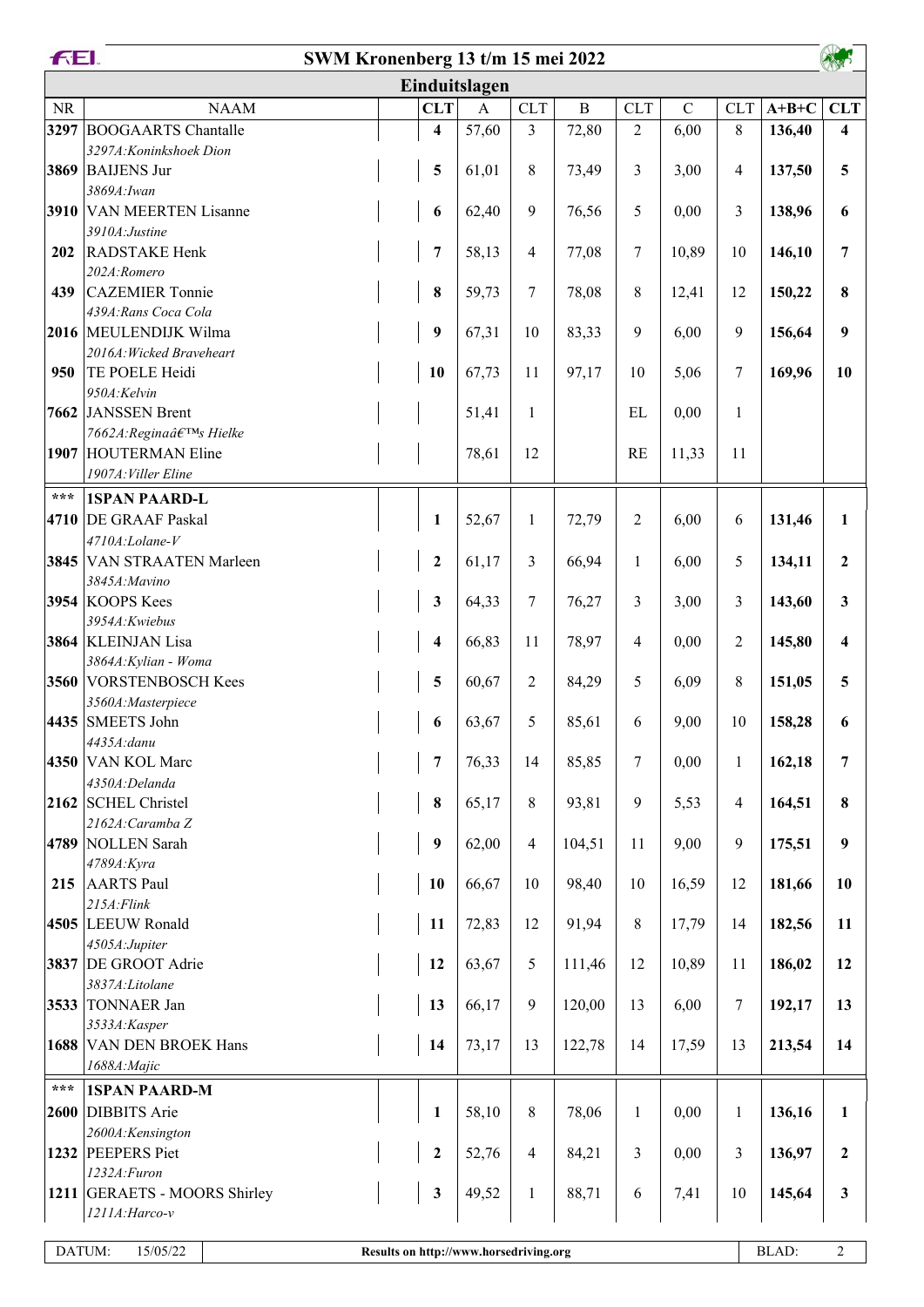|                   | <b>FEI.</b><br>SWM Kronenberg 13 t/m 15 mei 2022 |  |                                        |              |                         |             |                |             |              |         |                         |
|-------------------|--------------------------------------------------|--|----------------------------------------|--------------|-------------------------|-------------|----------------|-------------|--------------|---------|-------------------------|
|                   |                                                  |  | Einduitslagen                          |              |                         |             |                |             |              |         |                         |
| <b>NR</b>         | <b>NAAM</b>                                      |  | <b>CLT</b>                             | $\mathbf{A}$ | <b>CLT</b>              | $\mathbf B$ | <b>CLT</b>     | $\mathbf C$ | <b>CLT</b>   | $A+B+C$ | <b>CLT</b>              |
| 3297              | <b>BOOGAARTS</b> Chantalle                       |  | $\overline{\mathbf{4}}$                | 57,60        | $\overline{\mathbf{3}}$ | 72,80       | $\overline{2}$ | 6,00        | 8            | 136,40  | $\overline{\mathbf{4}}$ |
|                   | 3297A: Koninkshoek Dion                          |  |                                        |              |                         |             |                |             |              |         |                         |
|                   | 3869 BAIJENS Jur<br>3869A: Iwan                  |  | 5                                      | 61,01        | 8                       | 73,49       | 3              | 3,00        | 4            | 137,50  | 5                       |
|                   | 3910 VAN MEERTEN Lisanne                         |  | 6                                      | 62,40        | 9                       | 76,56       | 5              | 0,00        | 3            | 138,96  | 6                       |
|                   | 3910A: Justine                                   |  |                                        |              |                         |             |                |             |              |         |                         |
| 202               | RADSTAKE Henk                                    |  | 7                                      | 58,13        | $\overline{4}$          | 77,08       | 7              | 10,89       | 10           | 146,10  | 7                       |
|                   | 202A:Romero                                      |  |                                        |              |                         |             |                |             |              |         |                         |
| 439               | <b>CAZEMIER Tonnie</b>                           |  | 8                                      | 59,73        | 7                       | 78,08       | $8\,$          | 12,41       | 12           | 150,22  | 8                       |
|                   | 439A: Rans Coca Cola<br>2016 MEULENDIJK Wilma    |  | 9                                      | 67,31        | 10                      | 83,33       | 9              | 6,00        | 9            | 156,64  | 9                       |
|                   | 2016A: Wicked Braveheart                         |  |                                        |              |                         |             |                |             |              |         |                         |
| 950               | TE POELE Heidi                                   |  | 10                                     | 67,73        | 11                      | 97,17       | 10             | 5,06        | 7            | 169,96  | 10                      |
|                   | 950A:Kelvin                                      |  |                                        |              |                         |             |                |             |              |         |                         |
|                   | 7662 JANSSEN Brent                               |  |                                        | 51,41        | $\mathbf{1}$            |             | EL             | 0,00        | $\mathbf{1}$ |         |                         |
|                   | 7662A: Regina's Hielke                           |  |                                        |              |                         |             |                |             |              |         |                         |
| 1907              | <b>HOUTERMAN Eline</b><br>1907A: Viller Eline    |  |                                        | 78,61        | 12                      |             | <b>RE</b>      | 11,33       | 11           |         |                         |
| $***$             | <b>1SPAN PAARD-L</b>                             |  |                                        |              |                         |             |                |             |              |         |                         |
| 4710              | <b>DE GRAAF Paskal</b>                           |  | 1                                      | 52,67        | $\mathbf{1}$            | 72,79       | $\overline{2}$ | 6,00        | 6            | 131,46  | $\mathbf{1}$            |
|                   | 4710A:Lolane-V                                   |  |                                        |              |                         |             |                |             |              |         |                         |
|                   | 3845 VAN STRAATEN Marleen                        |  | $\boldsymbol{2}$                       | 61,17        | 3                       | 66,94       | $\mathbf{1}$   | 6,00        | 5            | 134,11  | $\mathbf{2}$            |
|                   | 3845A: Mavino                                    |  |                                        |              |                         |             |                |             |              |         |                         |
|                   | 3954 KOOPS Kees                                  |  | $\mathbf{3}$                           | 64,33        | 7                       | 76,27       | 3              | 3,00        | 3            | 143,60  | 3                       |
|                   | 3954A:Kwiebus                                    |  |                                        |              |                         |             |                |             |              |         |                         |
|                   | 3864 KLEINJAN Lisa<br>3864A: Kylian - Woma       |  | $\overline{\mathbf{4}}$                | 66,83        | 11                      | 78,97       | 4              | 0,00        | 2            | 145,80  | 4                       |
|                   | 3560 VORSTENBOSCH Kees                           |  | 5                                      | 60,67        | $\overline{2}$          | 84,29       | 5              | 6,09        | 8            | 151,05  | 5                       |
|                   | 3560A:Masterpiece                                |  |                                        |              |                         |             |                |             |              |         |                         |
|                   | 4435 SMEETS John                                 |  | 6                                      | 63,67        | 5                       | 85,61       | 6              | 9,00        | 10           | 158,28  | 6                       |
|                   | 4435A:danu                                       |  |                                        |              |                         |             |                |             |              |         |                         |
|                   | 4350 VAN KOL Marc                                |  | 7                                      | 76,33        | 14                      | 85,85       | 7              | 0,00        | $\mathbf{1}$ | 162,18  | $\overline{7}$          |
|                   | 4350A:Delanda<br>2162 SCHEL Christel             |  | 8                                      |              | 8                       | 93,81       | 9              |             | 4            |         | 8                       |
|                   | 2162A: Caramba Z                                 |  |                                        | 65,17        |                         |             |                | 5,53        |              | 164,51  |                         |
|                   | 4789 NOLLEN Sarah                                |  | 9                                      | 62,00        | $\overline{4}$          | 104,51      | 11             | 9,00        | 9            | 175,51  | 9                       |
|                   | 4789A: Kyra                                      |  |                                        |              |                         |             |                |             |              |         |                         |
| 215               | <b>AARTS</b> Paul                                |  | 10                                     | 66,67        | 10                      | 98,40       | 10             | 16,59       | 12           | 181,66  | 10                      |
|                   | $215A$ : Flink                                   |  |                                        |              |                         |             |                |             |              |         |                         |
|                   | 4505 LEEUW Ronald<br>4505A:Jupiter               |  | 11                                     | 72,83        | 12                      | 91,94       | $8\,$          | 17,79       | 14           | 182,56  | 11                      |
|                   | 3837 DE GROOT Adrie                              |  | 12                                     | 63,67        | 5                       | 111,46      | 12             | 10,89       | 11           | 186,02  | 12                      |
|                   | 3837A:Litolane                                   |  |                                        |              |                         |             |                |             |              |         |                         |
|                   | 3533 TONNAER Jan                                 |  | 13                                     | 66,17        | $\overline{9}$          | 120,00      | 13             | 6,00        | 7            | 192,17  | 13                      |
|                   | 3533A:Kasper                                     |  |                                        |              |                         |             |                |             |              |         |                         |
|                   | 1688 VAN DEN BROEK Hans                          |  | 14                                     | 73,17        | 13                      | 122,78      | 14             | 17,59       | 13           | 213,54  | 14                      |
|                   | 1688A: Majic                                     |  |                                        |              |                         |             |                |             |              |         |                         |
| $\star\star\star$ | <b>1SPAN PAARD-M</b>                             |  |                                        |              |                         |             |                |             |              |         |                         |
|                   | 2600 DIBBITS Arie<br>2600A:Kensington            |  | $\mathbf{1}$                           | 58,10        | 8                       | 78,06       | $\mathbf{1}$   | 0,00        | $\mathbf{1}$ | 136,16  | 1                       |
|                   | 1232 PEEPERS Piet                                |  | $\overline{2}$                         | 52,76        | $\overline{\mathbf{4}}$ | 84,21       | 3              | 0,00        | 3            | 136,97  | $\boldsymbol{2}$        |
|                   | 1232A: Furon                                     |  |                                        |              |                         |             |                |             |              |         |                         |
|                   | 1211 GERAETS - MOORS Shirley                     |  | $\mathbf{3}$                           | 49,52        | $\mathbf{1}$            | 88,71       | 6              | 7,41        | 10           | 145,64  | $\mathbf{3}$            |
|                   | 1211A: Harco-v                                   |  |                                        |              |                         |             |                |             |              |         |                         |
|                   | DATUM:<br>15/05/22                               |  | Results on http://www.horsedriving.org |              |                         |             |                |             |              | BLAD:   | $\overline{2}$          |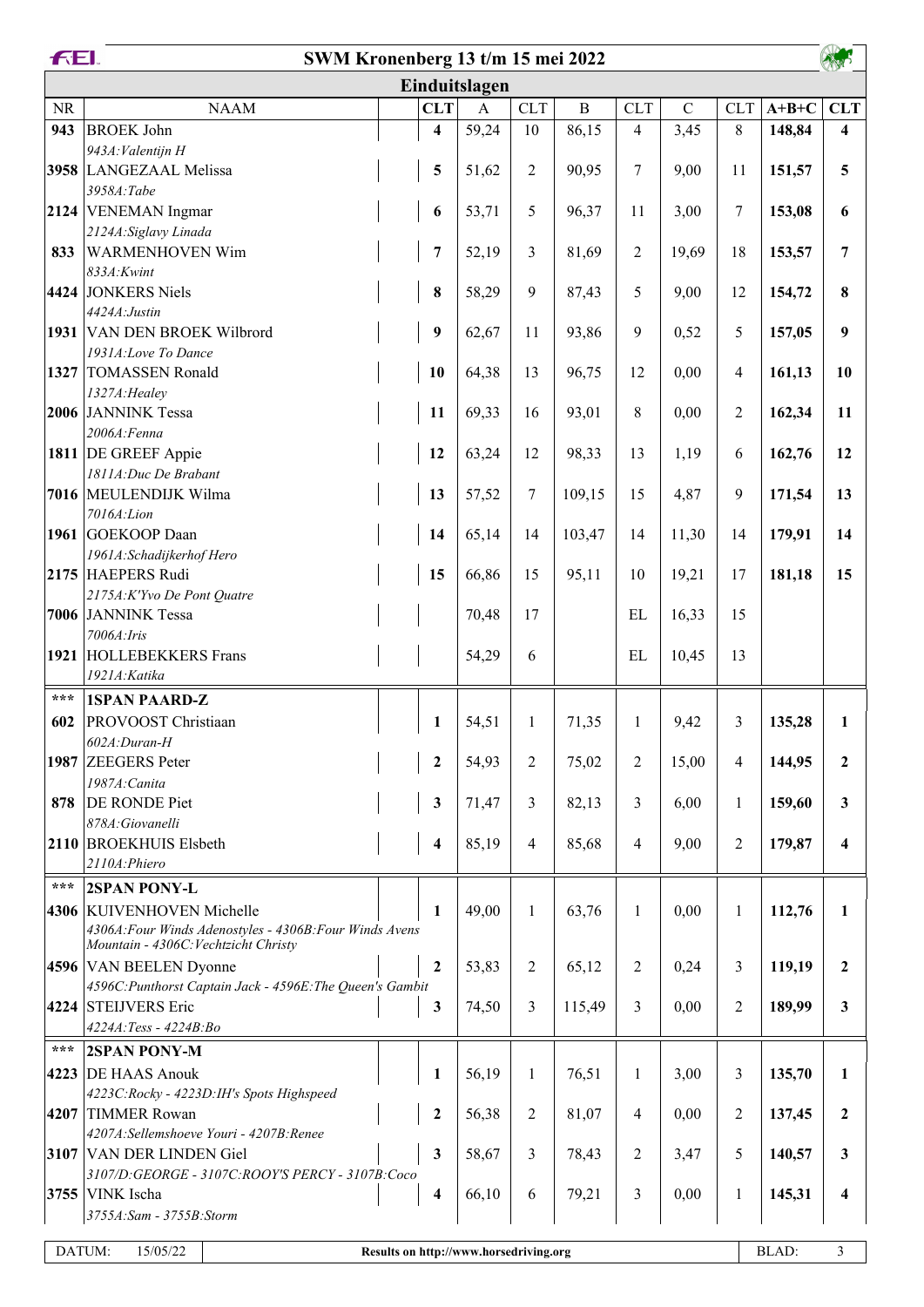|                   | <b>FEI.</b><br>SWM Kronenberg 13 t/m 15 mei 2022<br><b>AND</b>                                  |  |                         |                                        |                  |              |                |             |                |         |                         |
|-------------------|-------------------------------------------------------------------------------------------------|--|-------------------------|----------------------------------------|------------------|--------------|----------------|-------------|----------------|---------|-------------------------|
|                   |                                                                                                 |  |                         | Einduitslagen                          |                  |              |                |             |                |         |                         |
| $\rm NR$          | <b>NAAM</b>                                                                                     |  | <b>CLT</b>              | $\mathbf{A}$                           | <b>CLT</b>       | $\, {\bf B}$ | <b>CLT</b>     | $\mathbf C$ | <b>CLT</b>     | $A+B+C$ | <b>CLT</b>              |
| 943               | <b>BROEK John</b>                                                                               |  | $\overline{\mathbf{4}}$ | 59,24                                  | 10               | 86,15        | 4              | 3,45        | 8              | 148,84  | $\overline{\mathbf{4}}$ |
|                   | 943A: Valentijn H                                                                               |  |                         |                                        |                  |              |                |             |                |         |                         |
|                   | 3958 LANGEZAAL Melissa                                                                          |  | 5                       | 51,62                                  | $\sqrt{2}$       | 90,95        | 7              | 9,00        | 11             | 151,57  | 5                       |
|                   | 3958A:Tabe                                                                                      |  |                         |                                        |                  |              |                |             |                |         |                         |
|                   | 2124 VENEMAN Ingmar                                                                             |  | 6                       | 53,71                                  | 5                | 96,37        | 11             | 3,00        | $\overline{7}$ | 153,08  | 6                       |
|                   | 2124A: Siglavy Linada                                                                           |  |                         |                                        |                  |              |                |             |                |         |                         |
| 833               | <b>WARMENHOVEN Wim</b>                                                                          |  | 7                       | 52,19                                  | 3                | 81,69        | $\overline{2}$ | 19,69       | 18             | 153,57  | 7                       |
|                   | 833A: Kwint                                                                                     |  |                         |                                        |                  |              |                |             |                |         |                         |
|                   | 4424 JONKERS Niels<br>4424A: Justin                                                             |  | 8                       | 58,29                                  | 9                | 87,43        | 5              | 9,00        | 12             | 154,72  | 8                       |
|                   | 1931 VAN DEN BROEK Wilbrord                                                                     |  | 9                       | 62,67                                  | 11               | 93,86        | 9              | 0,52        | 5              | 157,05  | 9                       |
|                   | 1931A:Love To Dance                                                                             |  |                         |                                        |                  |              |                |             |                |         |                         |
|                   | 1327 TOMASSEN Ronald                                                                            |  | 10                      | 64,38                                  | 13               | 96,75        | 12             | 0,00        | 4              | 161,13  | 10                      |
|                   | 1327A: Healey                                                                                   |  |                         |                                        |                  |              |                |             |                |         |                         |
|                   | 2006 JANNINK Tessa                                                                              |  | 11                      | 69,33                                  | 16               | 93,01        | 8              | 0,00        | $\overline{2}$ | 162,34  | 11                      |
|                   | 2006A: Fenna                                                                                    |  |                         |                                        |                  |              |                |             |                |         |                         |
|                   | 1811 DE GREEF Appie                                                                             |  | 12                      | 63,24                                  | 12               | 98,33        | 13             | 1,19        | 6              | 162,76  | 12                      |
|                   | 1811A:Duc De Brabant                                                                            |  |                         |                                        |                  |              |                |             |                |         |                         |
|                   | 7016 MEULENDIJK Wilma                                                                           |  | 13                      | 57,52                                  | $\boldsymbol{7}$ | 109,15       | 15             | 4,87        | 9              | 171,54  | 13                      |
|                   | 7016A:Lion                                                                                      |  |                         |                                        |                  |              |                |             |                |         |                         |
|                   | 1961 GOEKOOP Daan                                                                               |  | 14                      | 65,14                                  | 14               | 103,47       | 14             | 11,30       | 14             | 179,91  | 14                      |
|                   | 1961A: Schadijkerhof Hero<br>2175 HAEPERS Rudi                                                  |  | 15                      | 66,86                                  | 15               | 95,11        | 10             | 19,21       | 17             | 181,18  | 15                      |
|                   | 2175A:K'Yvo De Pont Quatre                                                                      |  |                         |                                        |                  |              |                |             |                |         |                         |
|                   | 7006 JANNINK Tessa                                                                              |  |                         | 70,48                                  | 17               |              | EL             | 16,33       | 15             |         |                         |
|                   | 7006A: Iris                                                                                     |  |                         |                                        |                  |              |                |             |                |         |                         |
|                   | 1921 HOLLEBEKKERS Frans                                                                         |  |                         | 54,29                                  | 6                |              | EL             | 10,45       | 13             |         |                         |
|                   | 1921A: Katika                                                                                   |  |                         |                                        |                  |              |                |             |                |         |                         |
| $\star\star\star$ | <b>1SPAN PAARD-Z</b>                                                                            |  |                         |                                        |                  |              |                |             |                |         |                         |
| 602               | <b>PROVOOST</b> Christiaan                                                                      |  | $\mathbf{1}$            | 54,51                                  | $\mathbf{1}$     | 71,35        | $\mathbf{1}$   | 9,42        | 3              | 135,28  | 1                       |
|                   | 602A:Duran-H                                                                                    |  |                         |                                        |                  |              |                |             |                |         |                         |
|                   | 1987 ZEEGERS Peter                                                                              |  | $\mathbf{2}$            | 54,93                                  | $\overline{2}$   | 75,02        | $\overline{c}$ | 15,00       | 4              | 144,95  | $\mathbf{2}$            |
|                   | 1987A: Canita                                                                                   |  |                         |                                        |                  |              |                |             |                |         |                         |
| 878               | <b>DE RONDE Piet</b>                                                                            |  | $\mathbf{3}$            | 71,47                                  | $\mathfrak{Z}$   | 82,13        | 3              | 6,00        | $\mathbf{1}$   | 159,60  | 3                       |
|                   | 878A:Giovanelli                                                                                 |  |                         |                                        |                  |              |                |             |                |         |                         |
|                   | 2110 BROEKHUIS Elsbeth                                                                          |  | 4                       | 85,19                                  | $\overline{4}$   | 85,68        | 4              | 9,00        | 2              | 179,87  | $\overline{\mathbf{4}}$ |
|                   | 2110A: Phiero                                                                                   |  |                         |                                        |                  |              |                |             |                |         |                         |
| $***$             | <b>2SPAN PONY-L</b>                                                                             |  |                         |                                        |                  |              |                |             |                |         |                         |
|                   | 4306 KUIVENHOVEN Michelle                                                                       |  | 1                       | 49,00                                  | $\mathbf{1}$     | 63,76        | $\mathbf{1}$   | 0,00        | $\mathbf{1}$   | 112,76  | 1                       |
|                   | 4306A: Four Winds Adenostyles - 4306B: Four Winds Avens<br>Mountain - 4306C: Vechtzicht Christy |  |                         |                                        |                  |              |                |             |                |         |                         |
|                   | 4596 VAN BEELEN Dyonne                                                                          |  | $\overline{2}$          | 53,83                                  | $\overline{2}$   | 65,12        | 2              | 0,24        | 3              | 119,19  | $\boldsymbol{2}$        |
|                   | 4596C: Punthorst Captain Jack - 4596E: The Queen's Gambit                                       |  |                         |                                        |                  |              |                |             |                |         |                         |
|                   | 4224 STEIJVERS Eric                                                                             |  | $\mathbf{3}$            | 74,50                                  | 3                | 115,49       | 3              | 0,00        | 2              | 189,99  | $\mathbf{3}$            |
|                   | 4224A:Tess - 4224B:Bo                                                                           |  |                         |                                        |                  |              |                |             |                |         |                         |
| $***$             | <b>2SPAN PONY-M</b>                                                                             |  |                         |                                        |                  |              |                |             |                |         |                         |
|                   | 4223 DE HAAS Anouk                                                                              |  | 1                       | 56,19                                  | $\mathbf{1}$     | 76,51        | 1              | 3,00        | 3              | 135,70  | 1                       |
|                   | 4223C:Rocky - 4223D:IH's Spots Highspeed                                                        |  |                         |                                        |                  |              |                |             |                |         |                         |
|                   | 4207 TIMMER Rowan                                                                               |  | $\boldsymbol{2}$        | 56,38                                  | $\overline{2}$   | 81,07        | 4              | 0,00        | 2              | 137,45  | $\mathbf{2}$            |
|                   | 4207A:Sellemshoeve Youri - 4207B:Renee                                                          |  |                         |                                        |                  |              |                |             |                |         |                         |
|                   | 3107 VAN DER LINDEN Giel                                                                        |  | $\mathbf{3}$            | 58,67                                  | 3                | 78,43        | 2              | 3,47        | 5              | 140,57  | 3                       |
|                   | 3107/D:GEORGE - 3107C:ROOY'S PERCY - 3107B:Coco                                                 |  |                         |                                        |                  |              |                |             |                |         |                         |
|                   | 3755 VINK Ischa                                                                                 |  | $\overline{\mathbf{4}}$ | 66,10                                  | 6                | 79,21        | 3              | 0,00        | 1              | 145,31  | 4                       |
|                   | 3755A:Sam - 3755B:Storm                                                                         |  |                         |                                        |                  |              |                |             |                |         |                         |
| DATUM:            | 15/05/22                                                                                        |  |                         | Results on http://www.horsedriving.org |                  |              |                |             |                | BLAD:   | 3                       |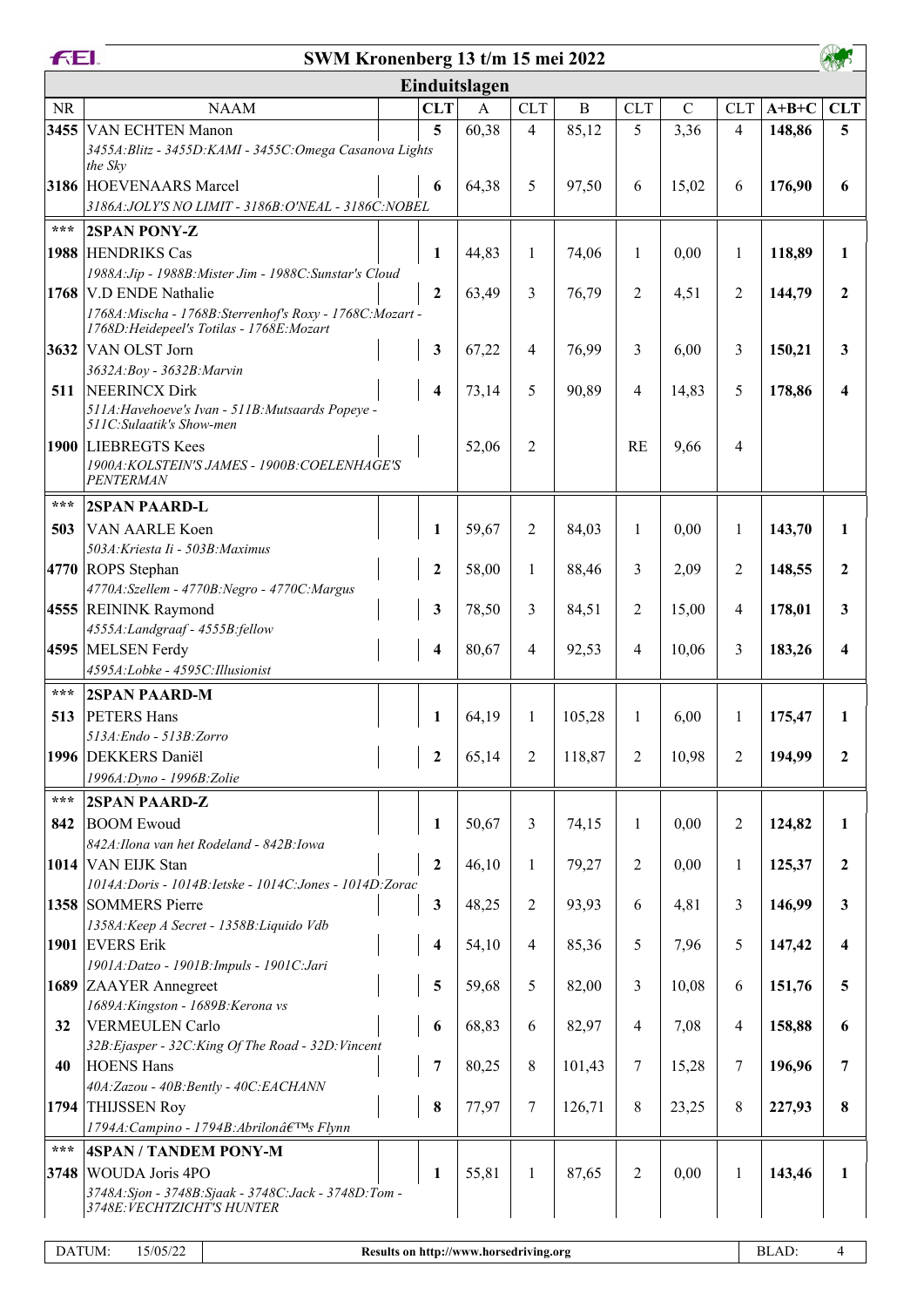|                   | <b>FEI.</b><br>SWM Kronenberg 13 t/m 15 mei 2022                                                         |                         |              |                |             |              |               |                          |         |                  |
|-------------------|----------------------------------------------------------------------------------------------------------|-------------------------|--------------|----------------|-------------|--------------|---------------|--------------------------|---------|------------------|
|                   |                                                                                                          | Einduitslagen           |              |                |             |              |               |                          |         |                  |
| <b>NR</b>         | <b>NAAM</b>                                                                                              | <b>CLT</b>              | $\mathbf{A}$ | <b>CLT</b>     | $\mathbf B$ | <b>CLT</b>   | $\mathcal{C}$ | <b>CLT</b>               | $A+B+C$ | <b>CLT</b>       |
|                   | 3455 VAN ECHTEN Manon                                                                                    | 5                       | 60,38        | $\overline{4}$ | 85,12       | 5            | 3,36          | $\overline{4}$           | 148,86  | 5                |
|                   | 3455A: Blitz - 3455D: KAMI - 3455C: Omega Casanova Lights<br>the Sky                                     |                         |              |                |             |              |               |                          |         |                  |
|                   | 3186 HOEVENAARS Marcel<br>3186A: JOLY'S NO LIMIT - 3186B: O'NEAL - 3186C: NOBEL                          | 6                       | 64,38        | 5              | 97,50       | 6            | 15,02         | 6                        | 176,90  | 6                |
| $***$             | <b>2SPAN PONY-Z</b>                                                                                      |                         |              |                |             |              |               |                          |         |                  |
|                   | 1988 HENDRIKS Cas                                                                                        | 1                       | 44,83        | $\mathbf{1}$   | 74,06       | 1            | 0,00          | $\mathbf{1}$             | 118,89  | 1                |
|                   | 1988A: Jip - 1988B: Mister Jim - 1988C: Sunstar's Cloud                                                  |                         |              |                |             |              |               |                          |         |                  |
|                   | 1768 V.D ENDE Nathalie                                                                                   | $\overline{2}$          | 63,49        | 3              | 76,79       | 2            | 4,51          | 2                        | 144,79  | $\mathbf{2}$     |
|                   | 1768A: Mischa - 1768B: Sterrenhof's Roxy - 1768C: Mozart -<br>1768D: Heidepeel's Totilas - 1768E: Mozart |                         |              |                |             |              |               |                          |         |                  |
|                   | 3632 VAN OLST Jorn                                                                                       | 3                       | 67,22        | 4              | 76,99       | 3            | 6,00          | 3                        | 150,21  | 3                |
|                   | 3632A: Boy - 3632B: Marvin                                                                               |                         |              |                |             |              |               |                          |         |                  |
| 511               | NEERINCX Dirk<br>511A: Havehoeve's Ivan - 511B: Mutsaards Popeye -<br>511C:Sulaatik's Show-men           | $\overline{\mathbf{4}}$ | 73,14        | 5              | 90,89       | 4            | 14,83         | 5                        | 178,86  | 4                |
|                   | 1900 LIEBREGTS Kees<br>1900A: KOLSTEIN'S JAMES - 1900B: COELENHAGE'S                                     |                         | 52,06        | $\overline{2}$ |             | <b>RE</b>    | 9,66          | $\overline{\mathcal{A}}$ |         |                  |
|                   | <b>PENTERMAN</b>                                                                                         |                         |              |                |             |              |               |                          |         |                  |
| ***               | <b>2SPAN PAARD-L</b>                                                                                     |                         |              |                |             |              |               |                          |         |                  |
| 503               | VAN AARLE Koen                                                                                           | 1                       | 59,67        | $\overline{2}$ | 84,03       | 1            | 0,00          | 1                        | 143,70  | 1                |
|                   | 503A: Kriesta Ii - 503B: Maximus                                                                         |                         |              |                |             |              |               |                          |         |                  |
|                   | 4770 ROPS Stephan                                                                                        | $\mathbf{2}$            | 58,00        | $\mathbf{1}$   | 88,46       | 3            | 2,09          | 2                        | 148,55  | $\mathbf{2}$     |
|                   | 4770A:Szellem - 4770B:Negro - 4770C:Margus                                                               |                         |              |                |             |              |               |                          |         |                  |
|                   | 4555 REININK Raymond                                                                                     | 3                       | 78,50        | 3              | 84,51       | 2            | 15,00         | 4                        | 178,01  | 3                |
|                   | 4555A:Landgraaf - 4555B:fellow                                                                           |                         |              |                |             |              |               |                          |         |                  |
|                   | 4595 MELSEN Ferdy                                                                                        | 4                       | 80,67        | 4              | 92,53       | 4            | 10,06         | 3                        | 183,26  | 4                |
|                   | 4595A:Lobke - 4595C:Illusionist                                                                          |                         |              |                |             |              |               |                          |         |                  |
| $***$             | <b>2SPAN PAARD-M</b>                                                                                     |                         |              |                |             |              |               |                          |         |                  |
| 513               | <b>PETERS Hans</b>                                                                                       | 1                       | 64,19        | $\mathbf{1}$   | 105,28      | $\mathbf{1}$ | 6,00          | 1                        | 175,47  | 1                |
|                   | 513A: Endo - 513B: Zorro<br>1996 DEKKERS Daniël                                                          | $\boldsymbol{2}$        | 65,14        | $\overline{2}$ | 118,87      |              | 10,98         | $\overline{2}$           | 194,99  | $\boldsymbol{2}$ |
|                   | 1996A: Dyno - 1996B: Zolie                                                                               |                         |              |                |             | 2            |               |                          |         |                  |
| $\star\star\star$ | <b>2SPAN PAARD-Z</b>                                                                                     |                         |              |                |             |              |               |                          |         |                  |
| 842               | <b>BOOM Ewoud</b>                                                                                        | 1                       | 50,67        | 3              | 74,15       | $\mathbf{1}$ | 0,00          | 2                        | 124,82  | 1                |
|                   | 842A: Ilona van het Rodeland - 842B: Iowa                                                                |                         |              |                |             |              |               |                          |         |                  |
|                   | 1014 VAN EIJK Stan                                                                                       | $\boldsymbol{2}$        | 46,10        | $\mathbf{1}$   | 79,27       | 2            | 0,00          | $\mathbf{1}$             | 125,37  | $\overline{2}$   |
|                   | 1014A: Doris - 1014B: Ietske - 1014C: Jones - 1014D: Zorac                                               |                         |              |                |             |              |               |                          |         |                  |
|                   | 1358 SOMMERS Pierre                                                                                      | $\mathbf{3}$            | 48,25        | $\overline{2}$ | 93,93       | 6            | 4,81          | 3                        | 146,99  | 3                |
|                   | 1358A: Keep A Secret - 1358B: Liquido Vdb                                                                |                         |              |                |             |              |               |                          |         |                  |
|                   | 1901 EVERS Erik                                                                                          | 4                       | 54,10        | $\overline{4}$ | 85,36       | 5            | 7,96          | 5                        | 147,42  | 4                |
|                   | 1901A:Datzo - 1901B:Impuls - 1901C:Jari<br>1689 ZAAYER Annegreet                                         | 5                       | 59,68        | 5              | 82,00       | 3            | 10,08         | 6                        | 151,76  | 5                |
|                   | 1689A: Kingston - 1689B: Kerona vs                                                                       |                         |              |                |             |              |               |                          |         |                  |
| 32                | VERMEULEN Carlo                                                                                          | 6                       | 68,83        | 6              | 82,97       | 4            | 7,08          | $\overline{4}$           | 158,88  | 6                |
|                   | 32B: Ejasper - 32C: King Of The Road - 32D: Vincent                                                      |                         |              |                |             |              |               |                          |         |                  |
| 40                | <b>HOENS Hans</b>                                                                                        | 7                       | 80,25        | $\,8\,$        | 101,43      | 7            | 15,28         | 7                        | 196,96  | 7                |
|                   | 40A:Zazou - 40B:Bently - 40C:EACHANN                                                                     |                         |              |                |             |              |               |                          |         |                  |
|                   | 1794 THIJSSEN Roy                                                                                        | 8                       | 77,97        | $\tau$         | 126,71      | 8            | 23,25         | 8                        | 227,93  | 8                |
|                   | 1794A: Campino - 1794B: Abrilonâ $\epsilon$ TM <sub>S</sub> Flynn                                        |                         |              |                |             |              |               |                          |         |                  |
| $***$             | 4SPAN / TANDEM PONY-M                                                                                    |                         |              |                |             |              |               |                          |         |                  |
|                   | 3748 WOUDA Joris 4PO                                                                                     | 1                       | 55,81        | $\mathbf{1}$   | 87,65       | 2            | 0,00          | 1                        | 143,46  | $\mathbf{1}$     |
|                   | 3748A: Sjon - 3748B: Sjaak - 3748C: Jack - 3748D: Tom -<br>3748E: VECHTZICHT'S HUNTER                    |                         |              |                |             |              |               |                          |         |                  |
|                   |                                                                                                          |                         |              |                |             |              |               |                          |         |                  |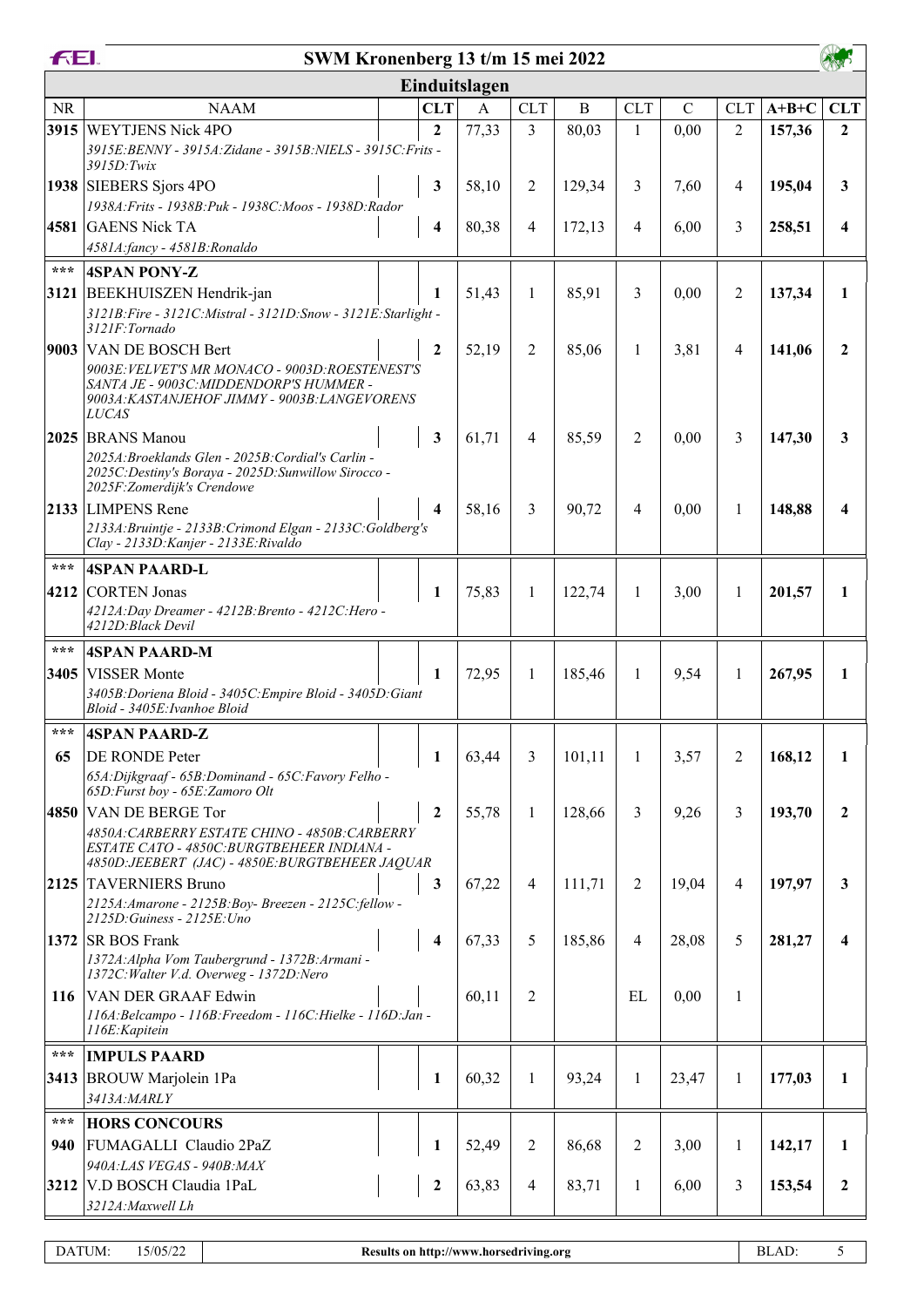|           | <b>FEI.</b><br>SWM Kronenberg 13 t/m 15 mei 2022                                                           |  |                         |                |                |              |                |             |                |         |              |
|-----------|------------------------------------------------------------------------------------------------------------|--|-------------------------|----------------|----------------|--------------|----------------|-------------|----------------|---------|--------------|
|           |                                                                                                            |  |                         | Einduitslagen  |                |              |                |             |                |         |              |
| <b>NR</b> | <b>NAAM</b>                                                                                                |  | <b>CLT</b>              | $\overline{A}$ | <b>CLT</b>     | $\, {\bf B}$ | <b>CLT</b>     | $\mathbf C$ | <b>CLT</b>     | $A+B+C$ | <b>CLT</b>   |
|           | 3915 WEYTJENS Nick 4PO                                                                                     |  | $\mathbf{2}$            | 77,33          | 3              | 80,03        | 1              | 0,00        | $\overline{2}$ | 157,36  | $\mathbf{2}$ |
|           | 3915E:BENNY - 3915A:Zidane - 3915B:NIELS - 3915C:Frits -                                                   |  |                         |                |                |              |                |             |                |         |              |
|           | 3915D: Twix                                                                                                |  |                         |                |                |              |                |             |                |         |              |
|           | 1938 SIEBERS Sjors 4PO                                                                                     |  | 3                       | 58,10          | 2              | 129,34       | 3              | 7,60        | 4              | 195,04  | $\mathbf{3}$ |
|           | 1938A: Frits - 1938B: Puk - 1938C: Moos - 1938D: Rador<br>4581 GAENS Nick TA                               |  | $\overline{\mathbf{4}}$ |                | 4              |              |                |             | 3              | 258,51  | 4            |
|           | 4581A:fancy - 4581B:Ronaldo                                                                                |  |                         | 80,38          |                | 172,13       | 4              | 6,00        |                |         |              |
| $***$     | <b>4SPAN PONY-Z</b>                                                                                        |  |                         |                |                |              |                |             |                |         |              |
|           | 3121 BEEKHUISZEN Hendrik-jan                                                                               |  | 1                       | 51,43          | 1              | 85,91        | 3              | 0,00        | 2              | 137,34  | 1            |
|           | 3121B: Fire - 3121C: Mistral - 3121D: Snow - 3121E: Starlight -                                            |  |                         |                |                |              |                |             |                |         |              |
|           | 3121F:Tornado                                                                                              |  |                         |                |                |              |                |             |                |         |              |
|           | 9003 VAN DE BOSCH Bert                                                                                     |  | $\boldsymbol{2}$        | 52,19          | 2              | 85,06        | 1              | 3,81        | 4              | 141,06  | $\mathbf{2}$ |
|           | 9003E: VELVET'S MR MONACO - 9003D: ROESTENEST'S<br>SANTA JE - 9003C: MIDDENDORP'S HUMMER -                 |  |                         |                |                |              |                |             |                |         |              |
|           | 9003A:KASTANJEHOF JIMMY - 9003B:LANGEVORENS                                                                |  |                         |                |                |              |                |             |                |         |              |
|           | <b>LUCAS</b>                                                                                               |  |                         |                |                |              |                |             |                |         |              |
|           | 2025 BRANS Manou                                                                                           |  | 3                       | 61,71          | $\overline{4}$ | 85,59        | 2              | 0,00        | 3              | 147,30  | 3            |
|           | 2025A: Broeklands Glen - 2025B: Cordial's Carlin -<br>2025C: Destiny's Boraya - 2025D: Sunwillow Sirocco - |  |                         |                |                |              |                |             |                |         |              |
|           | 2025F: Zomerdijk's Crendowe                                                                                |  |                         |                |                |              |                |             |                |         |              |
|           | 2133 LIMPENS Rene                                                                                          |  | 4                       | 58,16          | 3              | 90,72        | 4              | 0,00        | 1              | 148,88  | 4            |
|           | 2133A: Bruintje - 2133B: Crimond Elgan - 2133C: Goldberg's<br>Clay - 2133D: Kanjer - 2133E: Rivaldo        |  |                         |                |                |              |                |             |                |         |              |
| $***$     | <b>4SPAN PAARD-L</b>                                                                                       |  |                         |                |                |              |                |             |                |         |              |
|           | 4212 CORTEN Jonas                                                                                          |  | 1                       | 75,83          | 1              |              | 1              |             | $\mathbf{1}$   | 201,57  | $\mathbf{1}$ |
|           | 4212A:Day Dreamer - 4212B:Brento - 4212C:Hero -                                                            |  |                         |                |                | 122,74       |                | 3,00        |                |         |              |
|           | 4212D: Black Devil                                                                                         |  |                         |                |                |              |                |             |                |         |              |
| $***$     | 4SPAN PAARD-M                                                                                              |  |                         |                |                |              |                |             |                |         |              |
|           | 3405 VISSER Monte                                                                                          |  | 1                       | 72,95          | $\mathbf{1}$   | 185,46       | $\mathbf{1}$   | 9,54        | $\mathbf{1}$   | 267,95  | 1            |
|           | 3405B: Doriena Bloid - 3405C: Empire Bloid - 3405D: Giant<br>Bloid - 3405E: Ivanhoe Bloid                  |  |                         |                |                |              |                |             |                |         |              |
| ***       |                                                                                                            |  |                         |                |                |              |                |             |                |         |              |
|           | 4SPAN PAARD-Z                                                                                              |  |                         |                |                |              |                |             |                |         |              |
| 65        | <b>DE RONDE Peter</b><br>65A: Dijkgraaf - 65B: Dominand - 65C: Favory Felho -                              |  | 1                       | 63,44          | 3              | 101,11       | 1              | 3,57        | $\overline{2}$ | 168,12  | 1            |
|           | 65D: Furst boy - 65E: Zamoro Olt                                                                           |  |                         |                |                |              |                |             |                |         |              |
|           | 4850 VAN DE BERGE Tor                                                                                      |  | $\boldsymbol{2}$        | 55,78          | $\mathbf{1}$   | 128,66       | 3              | 9,26        | 3              | 193,70  | $\mathbf{2}$ |
|           | 4850A: CARBERRY ESTATE CHINO - 4850B: CARBERRY                                                             |  |                         |                |                |              |                |             |                |         |              |
|           | ESTATE CATO - 4850C: BURGTBEHEER INDIANA -<br>4850D: JEEBERT (JAC) - 4850E: BURGTBEHEER JAQUAR             |  |                         |                |                |              |                |             |                |         |              |
|           | 2125 TAVERNIERS Bruno                                                                                      |  | 3                       | 67,22          | 4              | 111,71       | $\overline{2}$ | 19,04       | 4              | 197,97  | $\mathbf{3}$ |
|           | 2125A: Amarone - 2125B: Boy- Breezen - 2125C: fellow -                                                     |  |                         |                |                |              |                |             |                |         |              |
|           | 2125D: Guiness - 2125E: Uno<br>1372 SR BOS Frank                                                           |  | $\overline{\mathbf{4}}$ |                | 5              |              | $\overline{4}$ |             |                |         | 4            |
|           | 1372A: Alpha Vom Taubergrund - 1372B: Armani -                                                             |  |                         | 67,33          |                | 185,86       |                | 28,08       | 5              | 281,27  |              |
|           | 1372C: Walter V.d. Overweg - 1372D: Nero                                                                   |  |                         |                |                |              |                |             |                |         |              |
|           | 116 VAN DER GRAAF Edwin                                                                                    |  |                         | 60,11          | $\overline{2}$ |              | EL             | 0,00        | $\mathbf{1}$   |         |              |
|           | 116A: Belcampo - 116B: Freedom - 116C: Hielke - 116D: Jan -                                                |  |                         |                |                |              |                |             |                |         |              |
| ***       | 116E: Kapitein                                                                                             |  |                         |                |                |              |                |             |                |         |              |
|           | <b>IMPULS PAARD</b>                                                                                        |  |                         |                |                |              |                |             |                |         |              |
|           | 3413 BROUW Marjolein 1Pa<br>3413A: MARLY                                                                   |  | 1                       | 60,32          | $\mathbf{1}$   | 93,24        | 1              | 23,47       | $\mathbf{1}$   | 177,03  | 1            |
| ***       |                                                                                                            |  |                         |                |                |              |                |             |                |         |              |
| 940       | <b>HORS CONCOURS</b><br>FUMAGALLI Claudio 2PaZ                                                             |  | 1                       | 52,49          | $\overline{2}$ | 86,68        | $\overline{2}$ | 3,00        | $\mathbf{1}$   | 142,17  | $\mathbf{1}$ |
|           | 940A:LAS VEGAS - 940B:MAX                                                                                  |  |                         |                |                |              |                |             |                |         |              |
|           | 3212 V.D BOSCH Claudia 1PaL                                                                                |  | $\boldsymbol{2}$        | 63,83          | 4              | 83,71        | 1              | 6,00        | 3              | 153,54  | $\mathbf{2}$ |
|           | 3212A: Maxwell Lh                                                                                          |  |                         |                |                |              |                |             |                |         |              |
|           |                                                                                                            |  |                         |                |                |              |                |             |                |         |              |